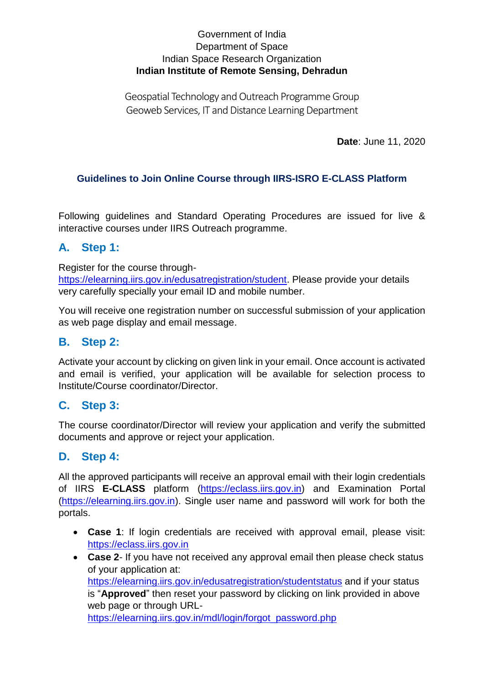#### Government of India Department of Space Indian Space Research Organization **Indian Institute of Remote Sensing, Dehradun**

Geospatial Technology and Outreach Programme Group Geoweb Services, IT and Distance Learning Department

**Date**: June 11, 2020

## **Guidelines to Join Online Course through IIRS-ISRO E-CLASS Platform**

Following guidelines and Standard Operating Procedures are issued for live & interactive courses under IIRS Outreach programme.

## **A. Step 1:**

Register for the course through-

[https://elearning.iirs.gov.in/edusatregistration/student.](https://elearning.iirs.gov.in/edusatregistration/student) Please provide your details very carefully specially your email ID and mobile number.

You will receive one registration number on successful submission of your application as web page display and email message.

## **B. Step 2:**

Activate your account by clicking on given link in your email. Once account is activated and email is verified, your application will be available for selection process to Institute/Course coordinator/Director.

## **C. Step 3:**

The course coordinator/Director will review your application and verify the submitted documents and approve or reject your application.

## **D. Step 4:**

All the approved participants will receive an approval email with their login credentials of IIRS **E-CLASS** platform [\(https://eclass.iirs.gov.in\)](https://eclass.iirs.gov.in/) and Examination Portal [\(https://elearning.iirs.gov.in\)](https://elearning.iirs.gov.in/). Single user name and password will work for both the portals.

- **Case 1**: If login credentials are received with approval email, please visit: [https://eclass.iirs.gov.in](https://eclass.iirs.gov.in/)
- **Case 2** If you have not received any approval email then please check status of your application at: <https://elearning.iirs.gov.in/edusatregistration/studentstatus> and if your status is "**Approved**" then reset your password by clicking on link provided in above web page or through URL[https://elearning.iirs.gov.in/mdl/login/forgot\\_password.php](https://elearning.iirs.gov.in/mdl/login/forgot_password.php)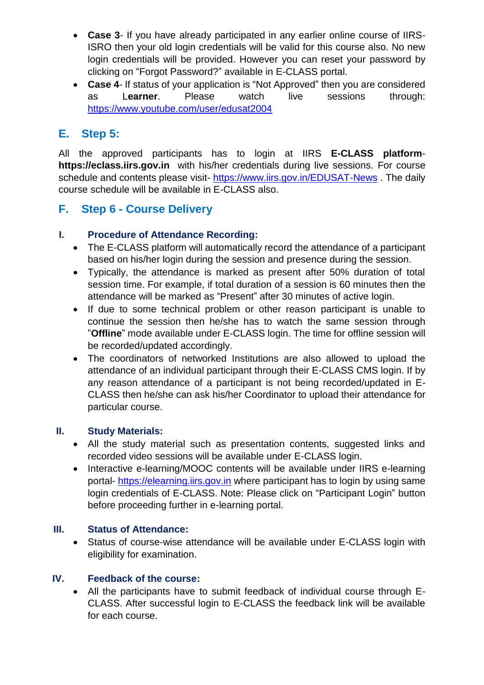- **Case 3** If you have already participated in any earlier online course of IIRS-ISRO then your old login credentials will be valid for this course also. No new login credentials will be provided. However you can reset your password by clicking on "Forgot Password?" available in E-CLASS portal.
- **Case 4** If status of your application is "Not Approved" then you are considered as L**earner**. Please watch live sessions through: <https://www.youtube.com/user/edusat2004>

# **E. Step 5:**

All the approved participants has to login at IIRS **E-CLASS platform[https://eclass.iirs.gov.in](https://eclass.iirs.gov.in/)** with his/her credentials during live sessions. For course schedule and contents please visit- <https://www.iirs.gov.in/EDUSAT-News> . The daily course schedule will be available in E-CLASS also.

## **F. Step 6 - Course Delivery**

#### **I. Procedure of Attendance Recording:**

- The E-CLASS platform will automatically record the attendance of a participant based on his/her login during the session and presence during the session.
- Typically, the attendance is marked as present after 50% duration of total session time. For example, if total duration of a session is 60 minutes then the attendance will be marked as "Present" after 30 minutes of active login.
- If due to some technical problem or other reason participant is unable to continue the session then he/she has to watch the same session through "**Offline**" mode available under E-CLASS login. The time for offline session will be recorded/updated accordingly.
- The coordinators of networked Institutions are also allowed to upload the attendance of an individual participant through their E-CLASS CMS login. If by any reason attendance of a participant is not being recorded/updated in E-CLASS then he/she can ask his/her Coordinator to upload their attendance for particular course.

#### **II. Study Materials:**

- All the study material such as presentation contents, suggested links and recorded video sessions will be available under E-CLASS login.
- Interactive e-learning/MOOC contents will be available under IIRS e-learning portal- [https://elearning.iirs.gov.in](https://elearning.iirs.gov.in/) where participant has to login by using same login credentials of E-CLASS. Note: Please click on "Participant Login" button before proceeding further in e-learning portal.

#### **III. Status of Attendance:**

 Status of course-wise attendance will be available under E-CLASS login with eligibility for examination.

#### **IV. Feedback of the course:**

 All the participants have to submit feedback of individual course through E-CLASS. After successful login to E-CLASS the feedback link will be available for each course.